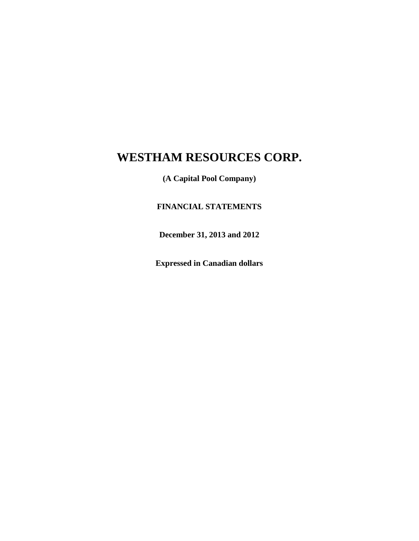**(A Capital Pool Company)**

# **FINANCIAL STATEMENTS**

**December 31, 2013 and 2012**

**Expressed in Canadian dollars**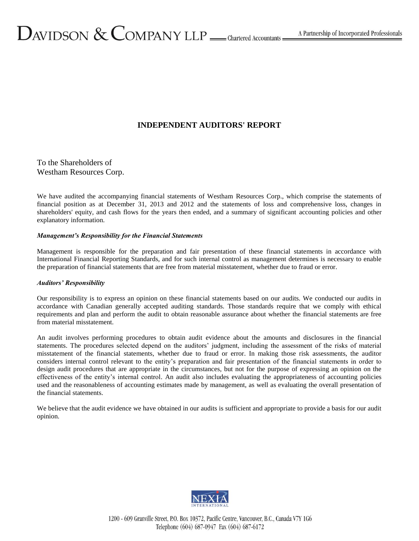## **INDEPENDENT AUDITORS' REPORT**

To the Shareholders of Westham Resources Corp.

We have audited the accompanying financial statements of Westham Resources Corp., which comprise the statements of financial position as at December 31, 2013 and 2012 and the statements of loss and comprehensive loss, changes in shareholders' equity, and cash flows for the years then ended, and a summary of significant accounting policies and other explanatory information.

#### *Management's Responsibility for the Financial Statements*

Management is responsible for the preparation and fair presentation of these financial statements in accordance with International Financial Reporting Standards, and for such internal control as management determines is necessary to enable the preparation of financial statements that are free from material misstatement, whether due to fraud or error.

#### *Auditors' Responsibility*

Our responsibility is to express an opinion on these financial statements based on our audits. We conducted our audits in accordance with Canadian generally accepted auditing standards. Those standards require that we comply with ethical requirements and plan and perform the audit to obtain reasonable assurance about whether the financial statements are free from material misstatement.

An audit involves performing procedures to obtain audit evidence about the amounts and disclosures in the financial statements. The procedures selected depend on the auditors' judgment, including the assessment of the risks of material misstatement of the financial statements, whether due to fraud or error. In making those risk assessments, the auditor considers internal control relevant to the entity's preparation and fair presentation of the financial statements in order to design audit procedures that are appropriate in the circumstances, but not for the purpose of expressing an opinion on the effectiveness of the entity's internal control. An audit also includes evaluating the appropriateness of accounting policies used and the reasonableness of accounting estimates made by management, as well as evaluating the overall presentation of the financial statements.

We believe that the audit evidence we have obtained in our audits is sufficient and appropriate to provide a basis for our audit opinion.

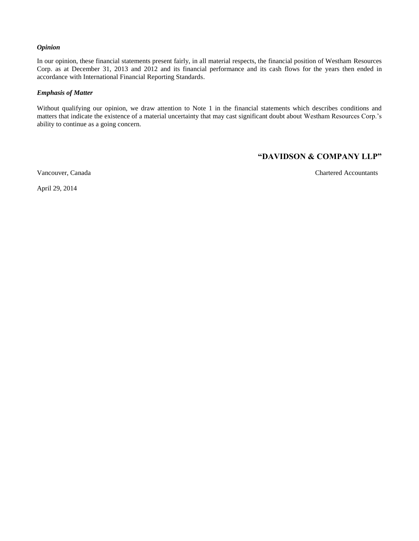### *Opinion*

In our opinion, these financial statements present fairly, in all material respects, the financial position of Westham Resources Corp. as at December 31, 2013 and 2012 and its financial performance and its cash flows for the years then ended in accordance with International Financial Reporting Standards.

### *Emphasis of Matter*

Without qualifying our opinion, we draw attention to Note 1 in the financial statements which describes conditions and matters that indicate the existence of a material uncertainty that may cast significant doubt about Westham Resources Corp.'s ability to continue as a going concern.

# **"DAVIDSON & COMPANY LLP"**

Vancouver, Canada Chartered Accountants

April 29, 2014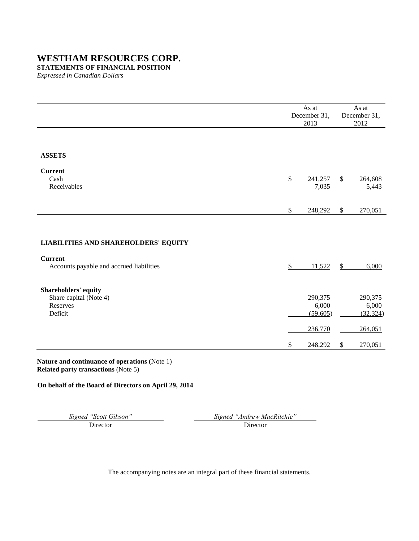### **STATEMENTS OF FINANCIAL POSITION**

*Expressed in Canadian Dollars*

|                                                                       |              | As at<br>December 31,<br>2013 |                           | As at<br>December 31,<br>2012 |
|-----------------------------------------------------------------------|--------------|-------------------------------|---------------------------|-------------------------------|
| <b>ASSETS</b>                                                         |              |                               |                           |                               |
| <b>Current</b><br>Cash<br>Receivables                                 | $\mathbb{S}$ | 241,257<br>7,035              | $\mathcal{S}$             | 264,608<br>5,443              |
|                                                                       | \$           | 248,292                       | $\mathcal{S}$             | 270,051                       |
| <b>LIABILITIES AND SHAREHOLDERS' EQUITY</b>                           |              |                               |                           |                               |
| <b>Current</b><br>Accounts payable and accrued liabilities            | \$           | 11,522                        | $\boldsymbol{\mathsf{S}}$ | 6,000                         |
| Shareholders' equity<br>Share capital (Note 4)<br>Reserves<br>Deficit |              | 290,375<br>6,000<br>(59,605)  |                           | 290,375<br>6,000<br>(32, 324) |
|                                                                       | \$           | 236,770<br>248,292            | \$                        | 264,051<br>270,051            |

**Nature and continuance of operations** (Note 1) **Related party transactions** (Note 5)

**On behalf of the Board of Directors on April 29, 2014**

Director Director Director

*Signed "Scott Gibson" Signed "Andrew MacRitchie"*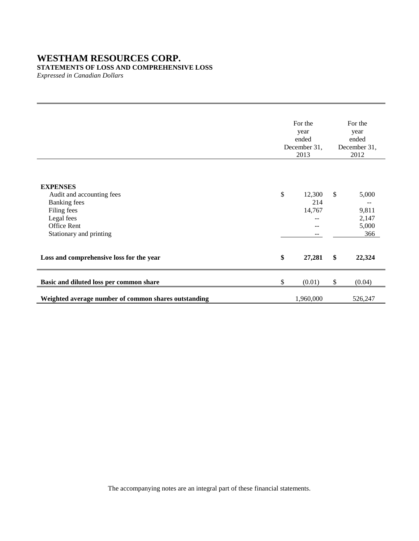### **STATEMENTS OF LOSS AND COMPREHENSIVE LOSS**

*Expressed in Canadian Dollars*

|                                                                                                                                            | For the<br>year<br>ended<br>December 31,<br>2013 |    | For the<br>year<br>ended<br>December 31,<br>2012 |  |
|--------------------------------------------------------------------------------------------------------------------------------------------|--------------------------------------------------|----|--------------------------------------------------|--|
| <b>EXPENSES</b><br>Audit and accounting fees<br><b>Banking</b> fees<br>Filing fees<br>Legal fees<br>Office Rent<br>Stationary and printing | \$<br>12,300<br>214<br>14,767<br>--<br>--        | \$ | 5,000<br>9,811<br>2,147<br>5,000<br>366          |  |
| Loss and comprehensive loss for the year                                                                                                   | \$<br>27,281                                     | \$ | 22,324                                           |  |
| Basic and diluted loss per common share                                                                                                    | \$<br>(0.01)                                     | \$ | (0.04)                                           |  |
| Weighted average number of common shares outstanding                                                                                       | 1,960,000                                        |    | 526,247                                          |  |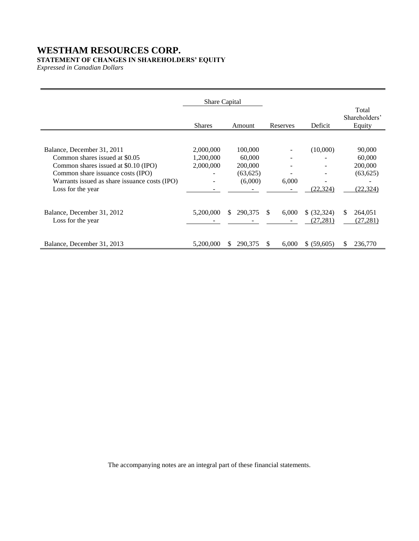# **STATEMENT OF CHANGES IN SHAREHOLDERS' EQUITY**

*Expressed in Canadian Dollars*

|                                               | Share Capital |               |              |                     |                |
|-----------------------------------------------|---------------|---------------|--------------|---------------------|----------------|
|                                               | <b>Shares</b> | Amount        |              | Deficit<br>Reserves |                |
|                                               |               |               |              |                     |                |
| Balance, December 31, 2011                    | 2,000,000     | 100,000       |              | (10,000)            | 90,000         |
| Common shares issued at \$0.05                | 1,200,000     | 60,000        | ۰            |                     | 60,000         |
| Common shares issued at \$0.10 (IPO)          | 2,000,000     | 200,000       |              |                     | 200,000        |
| Common share issuance costs (IPO)             |               | (63, 625)     | ۰            |                     | (63, 625)      |
| Warrants issued as share issuance costs (IPO) |               | (6,000)       | 6,000        |                     |                |
| Loss for the year                             |               |               |              | (22, 324)           | (22, 324)      |
|                                               |               |               |              |                     |                |
| Balance, December 31, 2012                    | 5,200,000     | 290,375<br>S. | \$.<br>6,000 | \$ (32,324)         | \$.<br>264,051 |
| Loss for the year                             |               |               |              | (27, 281)           | (27, 281)      |
|                                               |               |               |              |                     |                |
| Balance, December 31, 2013                    | 5,200,000     | 290,375<br>S. | 6,000<br>S   | \$ (59,605)         | 236,770<br>\$  |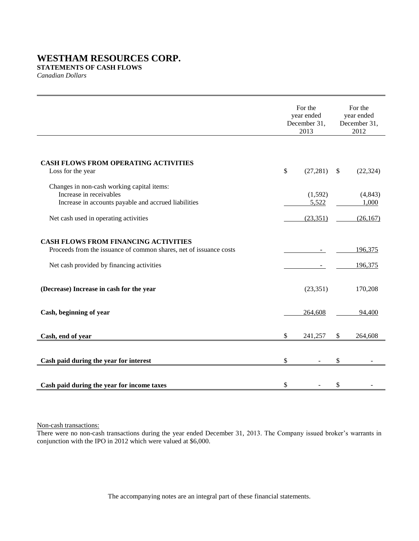**STATEMENTS OF CASH FLOWS**

*Canadian Dollars*

|                                                                                                                               | For the<br>year ended<br>December 31,<br>2013 |                  | For the<br>year ended<br>December 31,<br>2012 |                   |
|-------------------------------------------------------------------------------------------------------------------------------|-----------------------------------------------|------------------|-----------------------------------------------|-------------------|
|                                                                                                                               |                                               |                  |                                               |                   |
| <b>CASH FLOWS FROM OPERATING ACTIVITIES</b><br>Loss for the year                                                              | \$                                            | (27, 281)        | \$                                            | (22, 324)         |
| Changes in non-cash working capital items:<br>Increase in receivables<br>Increase in accounts payable and accrued liabilities |                                               | (1,592)<br>5,522 |                                               | (4, 843)<br>1,000 |
| Net cash used in operating activities                                                                                         |                                               | (23, 351)        |                                               | (26, 167)         |
| <b>CASH FLOWS FROM FINANCING ACTIVITIES</b><br>Proceeds from the issuance of common shares, net of issuance costs             |                                               |                  |                                               | 196,375           |
| Net cash provided by financing activities                                                                                     |                                               |                  |                                               | 196,375           |
| (Decrease) Increase in cash for the year                                                                                      |                                               | (23, 351)        |                                               | 170,208           |
| Cash, beginning of year                                                                                                       |                                               | 264,608          |                                               | 94,400            |
| Cash, end of year                                                                                                             | \$                                            | 241,257          | \$                                            | 264,608           |
| Cash paid during the year for interest                                                                                        | \$                                            |                  | \$                                            |                   |
|                                                                                                                               |                                               |                  |                                               |                   |
| Cash paid during the year for income taxes                                                                                    | \$                                            |                  | \$                                            |                   |

Non-cash transactions:

There were no non-cash transactions during the year ended December 31, 2013. The Company issued broker's warrants in conjunction with the IPO in 2012 which were valued at \$6,000.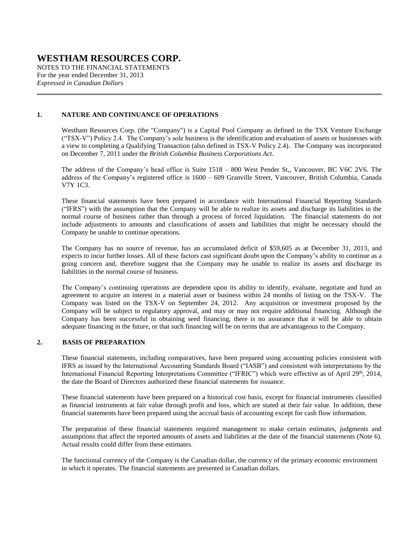NOTES TO THE FINANCIAL STATEMENTS For the year ended December 31, 2013 *Expressed in Canadian Dollars*

### **1. NATURE AND CONTINUANCE OF OPERATIONS**

Westham Resources Corp. (the "Company") is a Capital Pool Company as defined in the TSX Venture Exchange ("TSX-V") Policy 2.4. The Company's sole business is the identification and evaluation of assets or businesses with a view to completing a Qualifying Transaction (also defined in TSX-V Policy 2.4). The Company was incorporated on December 7, 2011 under the *British Columbia Business Corporations Act*.

The address of the Company's head office is Suite 1518 – 800 West Pender St,, Vancouver, BC V6C 2V6. The address of the Company's registered office is 1600 – 609 Granville Street, Vancouver, British Columbia, Canada V7Y 1C3.

These financial statements have been prepared in accordance with International Financial Reporting Standards ("IFRS") with the assumption that the Company will be able to realize its assets and discharge its liabilities in the normal course of business rather than through a process of forced liquidation. The financial statements do not include adjustments to amounts and classifications of assets and liabilities that might be necessary should the Company be unable to continue operations.

The Company has no source of revenue, has an accumulated deficit of \$59,605 as at December 31, 2013, and expects to incur further losses. All of these factors cast significant doubt upon the Company's ability to continue as a going concern and, therefore suggest that the Company may be unable to realize its assets and discharge its liabilities in the normal course of business.

The Company's continuing operations are dependent upon its ability to identify, evaluate, negotiate and fund an agreement to acquire an interest in a material asset or business within 24 months of listing on the TSX-V. The Company was listed on the TSX-V on September 24, 2012. Any acquisition or investment proposed by the Company will be subject to regulatory approval, and may or may not require additional financing. Although the Company has been successful in obtaining seed financing, there is no assurance that it will be able to obtain adequate financing in the future, or that such financing will be on terms that are advantageous to the Company.

### **2. BASIS OF PREPARATION**

These financial statements, including comparatives, have been prepared using accounting policies consistent with IFRS as issued by the International Accounting Standards Board ("IASB") and consistent with interpretations by the International Financial Reporting Interpretations Committee ("IFRIC") which were effective as of April 29<sup>th</sup>, 2014, the date the Board of Directors authorized these financial statements for issuance.

These financial statements have been prepared on a historical cost basis, except for financial instruments classified as financial instruments at fair value through profit and loss, which are stated at their fair value. In addition, these financial statements have been prepared using the accrual basis of accounting except for cash flow information.

The preparation of these financial statements required management to make certain estimates, judgments and assumptions that affect the reported amounts of assets and liabilities at the date of the financial statements (Note 6). Actual results could differ from these estimates.

The functional currency of the Company is the Canadian dollar, the currency of the primary economic environment in which it operates. The financial statements are presented in Canadian dollars.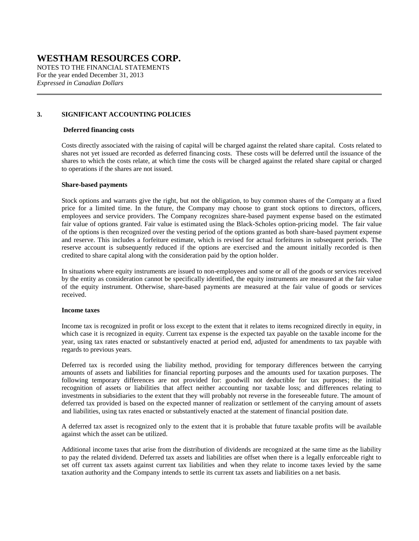NOTES TO THE FINANCIAL STATEMENTS For the year ended December 31, 2013 *Expressed in Canadian Dollars*

### **3. SIGNIFICANT ACCOUNTING POLICIES**

### **Deferred financing costs**

Costs directly associated with the raising of capital will be charged against the related share capital. Costs related to shares not yet issued are recorded as deferred financing costs. These costs will be deferred until the issuance of the shares to which the costs relate, at which time the costs will be charged against the related share capital or charged to operations if the shares are not issued.

#### **Share-based payments**

Stock options and warrants give the right, but not the obligation, to buy common shares of the Company at a fixed price for a limited time. In the future, the Company may choose to grant stock options to directors, officers, employees and service providers. The Company recognizes share-based payment expense based on the estimated fair value of options granted. Fair value is estimated using the Black-Scholes option-pricing model. The fair value of the options is then recognized over the vesting period of the options granted as both share-based payment expense and reserve. This includes a forfeiture estimate, which is revised for actual forfeitures in subsequent periods. The reserve account is subsequently reduced if the options are exercised and the amount initially recorded is then credited to share capital along with the consideration paid by the option holder.

In situations where equity instruments are issued to non-employees and some or all of the goods or services received by the entity as consideration cannot be specifically identified, the equity instruments are measured at the fair value of the equity instrument. Otherwise, share-based payments are measured at the fair value of goods or services received.

#### **Income taxes**

Income tax is recognized in profit or loss except to the extent that it relates to items recognized directly in equity, in which case it is recognized in equity. Current tax expense is the expected tax payable on the taxable income for the year, using tax rates enacted or substantively enacted at period end, adjusted for amendments to tax payable with regards to previous years.

Deferred tax is recorded using the liability method, providing for temporary differences between the carrying amounts of assets and liabilities for financial reporting purposes and the amounts used for taxation purposes. The following temporary differences are not provided for: goodwill not deductible for tax purposes; the initial recognition of assets or liabilities that affect neither accounting nor taxable loss; and differences relating to investments in subsidiaries to the extent that they will probably not reverse in the foreseeable future. The amount of deferred tax provided is based on the expected manner of realization or settlement of the carrying amount of assets and liabilities, using tax rates enacted or substantively enacted at the statement of financial position date.

A deferred tax asset is recognized only to the extent that it is probable that future taxable profits will be available against which the asset can be utilized.

Additional income taxes that arise from the distribution of dividends are recognized at the same time as the liability to pay the related dividend. Deferred tax assets and liabilities are offset when there is a legally enforceable right to set off current tax assets against current tax liabilities and when they relate to income taxes levied by the same taxation authority and the Company intends to settle its current tax assets and liabilities on a net basis.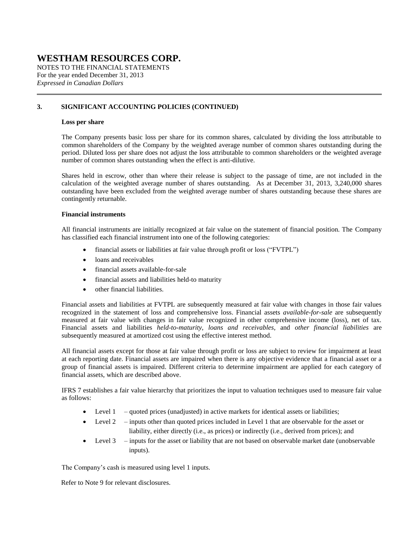NOTES TO THE FINANCIAL STATEMENTS For the year ended December 31, 2013 *Expressed in Canadian Dollars*

### **3. SIGNIFICANT ACCOUNTING POLICIES (CONTINUED)**

#### **Loss per share**

The Company presents basic loss per share for its common shares, calculated by dividing the loss attributable to common shareholders of the Company by the weighted average number of common shares outstanding during the period. Diluted loss per share does not adjust the loss attributable to common shareholders or the weighted average number of common shares outstanding when the effect is anti-dilutive.

Shares held in escrow, other than where their release is subject to the passage of time, are not included in the calculation of the weighted average number of shares outstanding. As at December 31, 2013, 3,240,000 shares outstanding have been excluded from the weighted average number of shares outstanding because these shares are contingently returnable.

### **Financial instruments**

All financial instruments are initially recognized at fair value on the statement of financial position. The Company has classified each financial instrument into one of the following categories:

- financial assets or liabilities at fair value through profit or loss ("FVTPL")
- loans and receivables
- financial assets available-for-sale
- financial assets and liabilities held-to maturity
- other financial liabilities.

Financial assets and liabilities at FVTPL are subsequently measured at fair value with changes in those fair values recognized in the statement of loss and comprehensive loss. Financial assets *available-for-sale* are subsequently measured at fair value with changes in fair value recognized in other comprehensive income (loss), net of tax. Financial assets and liabilities *held-to-maturity*, *loans and receivables*, and *other financial liabilities* are subsequently measured at amortized cost using the effective interest method.

All financial assets except for those at fair value through profit or loss are subject to review for impairment at least at each reporting date. Financial assets are impaired when there is any objective evidence that a financial asset or a group of financial assets is impaired. Different criteria to determine impairment are applied for each category of financial assets, which are described above.

IFRS 7 establishes a fair value hierarchy that prioritizes the input to valuation techniques used to measure fair value as follows:

- $\bullet$  Level 1 quoted prices (unadjusted) in active markets for identical assets or liabilities;
- Level 2 inputs other than quoted prices included in Level 1 that are observable for the asset or liability, either directly (i.e., as prices) or indirectly (i.e., derived from prices); and
- $\bullet$  Level 3 inputs for the asset or liability that are not based on observable market date (unobservable inputs).

The Company's cash is measured using level 1 inputs.

Refer to Note 9 for relevant disclosures.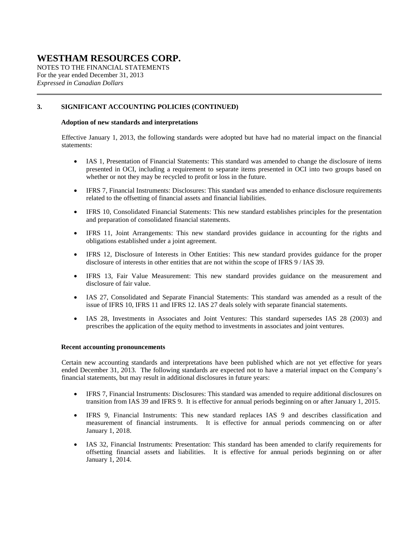NOTES TO THE FINANCIAL STATEMENTS For the year ended December 31, 2013 *Expressed in Canadian Dollars*

### **3. SIGNIFICANT ACCOUNTING POLICIES (CONTINUED)**

#### **Adoption of new standards and interpretations**

Effective January 1, 2013, the following standards were adopted but have had no material impact on the financial statements:

- IAS 1, Presentation of Financial Statements: This standard was amended to change the disclosure of items presented in OCI, including a requirement to separate items presented in OCI into two groups based on whether or not they may be recycled to profit or loss in the future.
- IFRS 7, Financial Instruments: Disclosures: This standard was amended to enhance disclosure requirements related to the offsetting of financial assets and financial liabilities.
- IFRS 10, Consolidated Financial Statements: This new standard establishes principles for the presentation and preparation of consolidated financial statements.
- IFRS 11, Joint Arrangements: This new standard provides guidance in accounting for the rights and obligations established under a joint agreement.
- IFRS 12, Disclosure of Interests in Other Entities: This new standard provides guidance for the proper disclosure of interests in other entities that are not within the scope of IFRS 9 / IAS 39.
- IFRS 13, Fair Value Measurement: This new standard provides guidance on the measurement and disclosure of fair value.
- IAS 27, Consolidated and Separate Financial Statements: This standard was amended as a result of the issue of IFRS 10, IFRS 11 and IFRS 12. IAS 27 deals solely with separate financial statements.
- IAS 28, Investments in Associates and Joint Ventures: This standard supersedes IAS 28 (2003) and prescribes the application of the equity method to investments in associates and joint ventures.

#### **Recent accounting pronouncements**

Certain new accounting standards and interpretations have been published which are not yet effective for years ended December 31, 2013. The following standards are expected not to have a material impact on the Company's financial statements, but may result in additional disclosures in future years:

- IFRS 7, Financial Instruments: Disclosures: This standard was amended to require additional disclosures on transition from IAS 39 and IFRS 9. It is effective for annual periods beginning on or after January 1, 2015.
- IFRS 9, Financial Instruments: This new standard replaces IAS 9 and describes classification and measurement of financial instruments. It is effective for annual periods commencing on or after January 1, 2018.
- IAS 32, Financial Instruments: Presentation: This standard has been amended to clarify requirements for offsetting financial assets and liabilities. It is effective for annual periods beginning on or after January 1, 2014.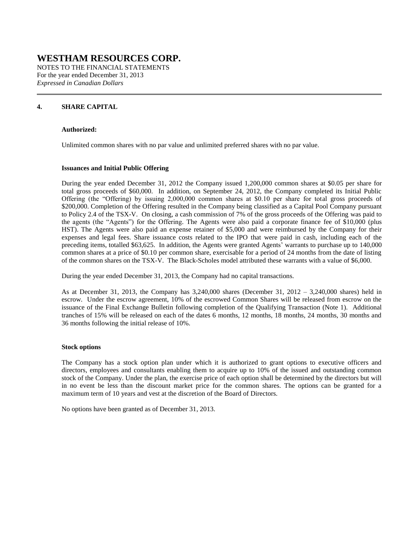NOTES TO THE FINANCIAL STATEMENTS For the year ended December 31, 2013 *Expressed in Canadian Dollars*

### **4. SHARE CAPITAL**

#### **Authorized:**

Unlimited common shares with no par value and unlimited preferred shares with no par value.

### **Issuances and Initial Public Offering**

During the year ended December 31, 2012 the Company issued 1,200,000 common shares at \$0.05 per share for total gross proceeds of \$60,000. In addition, on September 24, 2012, the Company completed its Initial Public Offering (the "Offering) by issuing 2,000,000 common shares at \$0.10 per share for total gross proceeds of \$200,000. Completion of the Offering resulted in the Company being classified as a Capital Pool Company pursuant to Policy 2.4 of the TSX-V. On closing, a cash commission of 7% of the gross proceeds of the Offering was paid to the agents (the "Agents") for the Offering. The Agents were also paid a corporate finance fee of \$10,000 (plus HST). The Agents were also paid an expense retainer of \$5,000 and were reimbursed by the Company for their expenses and legal fees. Share issuance costs related to the IPO that were paid in cash, including each of the preceding items, totalled \$63,625. In addition, the Agents were granted Agents' warrants to purchase up to 140,000 common shares at a price of \$0.10 per common share, exercisable for a period of 24 months from the date of listing of the common shares on the TSX-V. The Black-Scholes model attributed these warrants with a value of \$6,000.

During the year ended December 31, 2013, the Company had no capital transactions.

As at December 31, 2013, the Company has  $3,240,000$  shares (December 31, 2012 –  $3,240,000$  shares) held in escrow. Under the escrow agreement, 10% of the escrowed Common Shares will be released from escrow on the issuance of the Final Exchange Bulletin following completion of the Qualifying Transaction (Note 1). Additional tranches of 15% will be released on each of the dates 6 months, 12 months, 18 months, 24 months, 30 months and 36 months following the initial release of 10%.

#### **Stock options**

The Company has a stock option plan under which it is authorized to grant options to executive officers and directors, employees and consultants enabling them to acquire up to 10% of the issued and outstanding common stock of the Company. Under the plan, the exercise price of each option shall be determined by the directors but will in no event be less than the discount market price for the common shares. The options can be granted for a maximum term of 10 years and vest at the discretion of the Board of Directors.

No options have been granted as of December 31, 2013.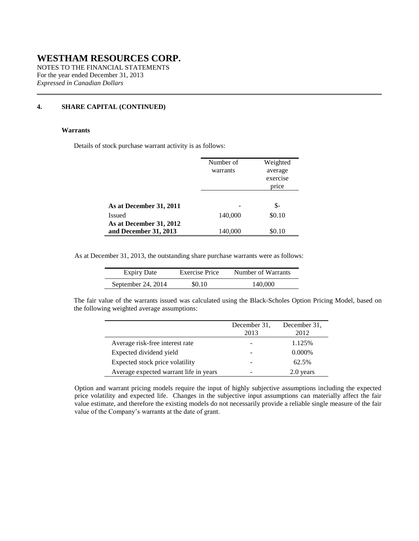NOTES TO THE FINANCIAL STATEMENTS For the year ended December 31, 2013 *Expressed in Canadian Dollars*

### **4. SHARE CAPITAL (CONTINUED)**

### **Warrants**

Details of stock purchase warrant activity is as follows:

|                         | Number of | Weighted |
|-------------------------|-----------|----------|
|                         | warrants  | average  |
|                         |           | exercise |
|                         |           | price    |
|                         |           |          |
| As at December 31, 2011 |           | \$-      |
| <b>Issued</b>           | 140,000   | \$0.10   |
| As at December 31, 2012 |           |          |
| and December 31, 2013   | 140,000   | \$0.10   |

As at December 31, 2013, the outstanding share purchase warrants were as follows:

| <b>Expiry Date</b> | Exercise Price | Number of Warrants |  |  |  |  |
|--------------------|----------------|--------------------|--|--|--|--|
| September 24, 2014 | \$0.10         | 140,000            |  |  |  |  |

The fair value of the warrants issued was calculated using the Black-Scholes Option Pricing Model, based on the following weighted average assumptions:

|                                        | December 31,<br>2013 | December 31.<br>2012 |
|----------------------------------------|----------------------|----------------------|
| Average risk-free interest rate        |                      | 1.125%               |
| Expected dividend yield                |                      | 0.000%               |
| Expected stock price volatility        |                      | 62.5%                |
| Average expected warrant life in years |                      | 2.0 years            |

Option and warrant pricing models require the input of highly subjective assumptions including the expected price volatility and expected life. Changes in the subjective input assumptions can materially affect the fair value estimate, and therefore the existing models do not necessarily provide a reliable single measure of the fair value of the Company's warrants at the date of grant.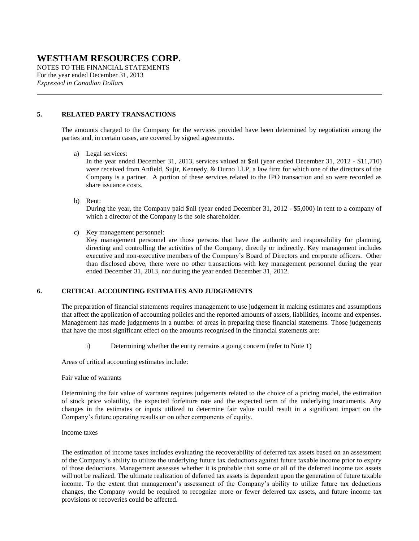NOTES TO THE FINANCIAL STATEMENTS For the year ended December 31, 2013 *Expressed in Canadian Dollars*

### **5. RELATED PARTY TRANSACTIONS**

The amounts charged to the Company for the services provided have been determined by negotiation among the parties and, in certain cases, are covered by signed agreements.

a) Legal services:

In the year ended December 31, 2013, services valued at \$nil (year ended December 31, 2012 - \$11,710) were received from Anfield, Sujir, Kennedy, & Durno LLP, a law firm for which one of the directors of the Company is a partner. A portion of these services related to the IPO transaction and so were recorded as share issuance costs.

b) Rent:

During the year, the Company paid \$nil (year ended December 31, 2012 - \$5,000) in rent to a company of which a director of the Company is the sole shareholder.

c) Key management personnel:

Key management personnel are those persons that have the authority and responsibility for planning, directing and controlling the activities of the Company, directly or indirectly. Key management includes executive and non-executive members of the Company's Board of Directors and corporate officers. Other than disclosed above, there were no other transactions with key management personnel during the year ended December 31, 2013, nor during the year ended December 31, 2012.

### **6. CRITICAL ACCOUNTING ESTIMATES AND JUDGEMENTS**

The preparation of financial statements requires management to use judgement in making estimates and assumptions that affect the application of accounting policies and the reported amounts of assets, liabilities, income and expenses. Management has made judgements in a number of areas in preparing these financial statements. Those judgements that have the most significant effect on the amounts recognised in the financial statements are:

i) Determining whether the entity remains a going concern (refer to Note 1)

Areas of critical accounting estimates include:

#### Fair value of warrants

Determining the fair value of warrants requires judgements related to the choice of a pricing model, the estimation of stock price volatility, the expected forfeiture rate and the expected term of the underlying instruments. Any changes in the estimates or inputs utilized to determine fair value could result in a significant impact on the Company's future operating results or on other components of equity.

#### Income taxes

The estimation of income taxes includes evaluating the recoverability of deferred tax assets based on an assessment of the Company's ability to utilize the underlying future tax deductions against future taxable income prior to expiry of those deductions. Management assesses whether it is probable that some or all of the deferred income tax assets will not be realized. The ultimate realization of deferred tax assets is dependent upon the generation of future taxable income. To the extent that management's assessment of the Company's ability to utilize future tax deductions changes, the Company would be required to recognize more or fewer deferred tax assets, and future income tax provisions or recoveries could be affected.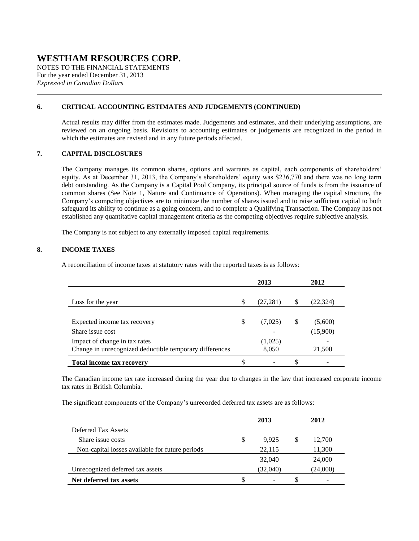NOTES TO THE FINANCIAL STATEMENTS For the year ended December 31, 2013 *Expressed in Canadian Dollars*

### **6. CRITICAL ACCOUNTING ESTIMATES AND JUDGEMENTS (CONTINUED)**

Actual results may differ from the estimates made. Judgements and estimates, and their underlying assumptions, are reviewed on an ongoing basis. Revisions to accounting estimates or judgements are recognized in the period in which the estimates are revised and in any future periods affected.

### **7. CAPITAL DISCLOSURES**

The Company manages its common shares, options and warrants as capital, each components of shareholders' equity. As at December 31, 2013, the Company's shareholders' equity was \$236,770 and there was no long term debt outstanding. As the Company is a Capital Pool Company, its principal source of funds is from the issuance of common shares (See Note 1, Nature and Continuance of Operations). When managing the capital structure, the Company's competing objectives are to minimize the number of shares issued and to raise sufficient capital to both safeguard its ability to continue as a going concern, and to complete a Qualifying Transaction. The Company has not established any quantitative capital management criteria as the competing objectives require subjective analysis.

The Company is not subject to any externally imposed capital requirements.

### **8. INCOME TAXES**

A reconciliation of income taxes at statutory rates with the reported taxes is as follows:

|                                                         |   | 2013      | 2012          |
|---------------------------------------------------------|---|-----------|---------------|
|                                                         |   |           |               |
| Loss for the year                                       | S | (27, 281) | (22,324)      |
|                                                         |   |           |               |
| Expected income tax recovery                            | S | (7,025)   | \$<br>(5,600) |
| Share issue cost                                        |   |           | (15,900)      |
| Impact of change in tax rates                           |   | (1,025)   |               |
| Change in unrecognized deductible temporary differences |   | 8,050     | 21,500        |
| Total income tax recovery                               |   |           |               |

The Canadian income tax rate increased during the year due to changes in the law that increased corporate income tax rates in British Columbia.

The significant components of the Company's unrecorded deferred tax assets are as follows:

|                                                 |   | 2013     |   | 2012     |  |  |
|-------------------------------------------------|---|----------|---|----------|--|--|
| Deferred Tax Assets                             |   |          |   |          |  |  |
| Share issue costs                               | S | 9.925    | S | 12.700   |  |  |
| Non-capital losses available for future periods |   | 22.115   |   | 11,300   |  |  |
|                                                 |   | 32,040   |   | 24,000   |  |  |
| Unrecognized deferred tax assets                |   | (32,040) |   | (24,000) |  |  |
| Net deferred tax assets                         |   |          |   |          |  |  |